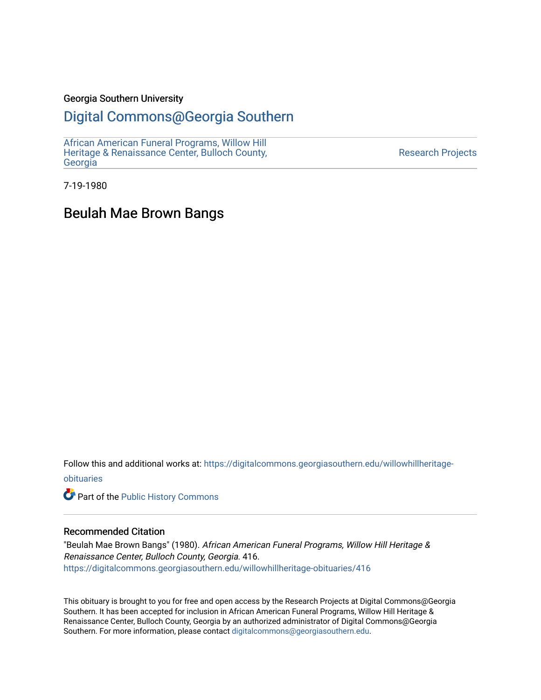### Georgia Southern University

## [Digital Commons@Georgia Southern](https://digitalcommons.georgiasouthern.edu/)

[African American Funeral Programs, Willow Hill](https://digitalcommons.georgiasouthern.edu/willowhillheritage-obituaries)  [Heritage & Renaissance Center, Bulloch County,](https://digitalcommons.georgiasouthern.edu/willowhillheritage-obituaries) **[Georgia](https://digitalcommons.georgiasouthern.edu/willowhillheritage-obituaries)** 

[Research Projects](https://digitalcommons.georgiasouthern.edu/research-projects) 

7-19-1980

## Beulah Mae Brown Bangs

Follow this and additional works at: [https://digitalcommons.georgiasouthern.edu/willowhillheritage](https://digitalcommons.georgiasouthern.edu/willowhillheritage-obituaries?utm_source=digitalcommons.georgiasouthern.edu%2Fwillowhillheritage-obituaries%2F416&utm_medium=PDF&utm_campaign=PDFCoverPages)[obituaries](https://digitalcommons.georgiasouthern.edu/willowhillheritage-obituaries?utm_source=digitalcommons.georgiasouthern.edu%2Fwillowhillheritage-obituaries%2F416&utm_medium=PDF&utm_campaign=PDFCoverPages)

Part of the [Public History Commons](http://network.bepress.com/hgg/discipline/1292?utm_source=digitalcommons.georgiasouthern.edu%2Fwillowhillheritage-obituaries%2F416&utm_medium=PDF&utm_campaign=PDFCoverPages) 

### Recommended Citation

"Beulah Mae Brown Bangs" (1980). African American Funeral Programs, Willow Hill Heritage & Renaissance Center, Bulloch County, Georgia. 416. [https://digitalcommons.georgiasouthern.edu/willowhillheritage-obituaries/416](https://digitalcommons.georgiasouthern.edu/willowhillheritage-obituaries/416?utm_source=digitalcommons.georgiasouthern.edu%2Fwillowhillheritage-obituaries%2F416&utm_medium=PDF&utm_campaign=PDFCoverPages) 

This obituary is brought to you for free and open access by the Research Projects at Digital Commons@Georgia Southern. It has been accepted for inclusion in African American Funeral Programs, Willow Hill Heritage & Renaissance Center, Bulloch County, Georgia by an authorized administrator of Digital Commons@Georgia Southern. For more information, please contact [digitalcommons@georgiasouthern.edu](mailto:digitalcommons@georgiasouthern.edu).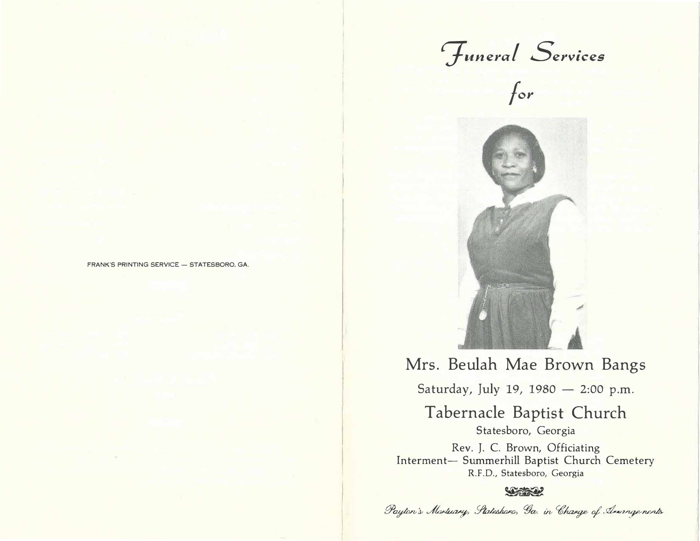Funeral Services<br>for





# Mrs. Beulah Mae Brown Bangs

Saturday, July 19, 1980 - 2:00 p.m.

Tabernacle Baptist Church Statesboro, Georgia

Rev. J. C. Brown, Officiating Interment- Summerhill Baptist Church Cemetery R.F.D., Statesboro, Georgia

### **SERIES**

Payton's Mortuary, Stateshare, Ga. in Charge of Annagements

FRANK'S PRINTING SERVICE - STATESBORO, GA.